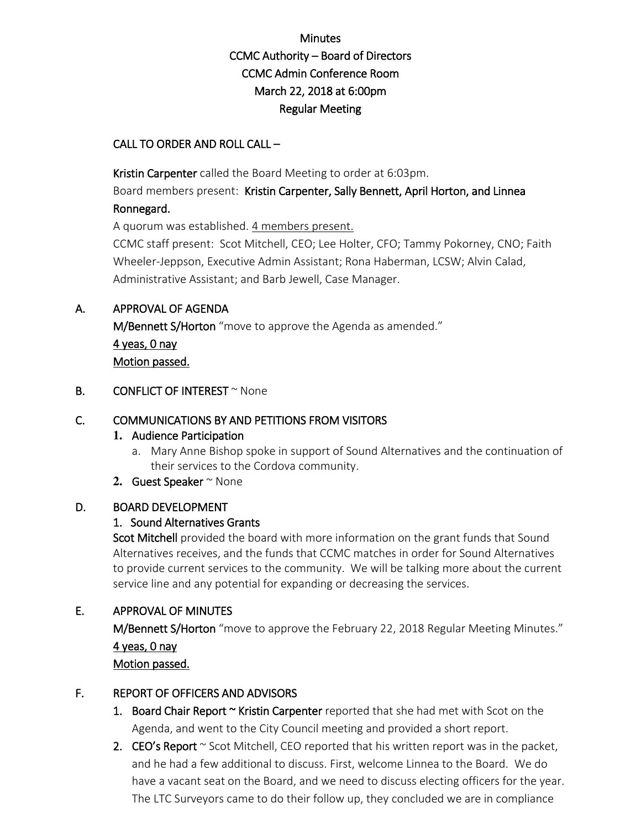# Minutes CCMC Authority – Board of Directors CCMC Admin Conference Room March 22, 2018 at 6:00pm Regular Meeting

### CALL TO ORDER AND ROLL CALL –

Kristin Carpenter called the Board Meeting to order at 6:03pm.

Board members present: Kristin Carpenter, Sally Bennett, April Horton, and Linnea Ronnegard.

A quorum was established. 4 members present.

CCMC staff present: Scot Mitchell, CEO; Lee Holter, CFO; Tammy Pokorney, CNO; Faith Wheeler-Jeppson, Executive Admin Assistant; Rona Haberman, LCSW; Alvin Calad, Administrative Assistant; and Barb Jewell, Case Manager.

### A. APPROVAL OF AGENDA

M/Bennett S/Horton "move to approve the Agenda as amended." 4 yeas, 0 nay Motion passed.

#### **B.** CONFLICT OF INTEREST  $\sim$  None

### C. COMMUNICATIONS BY AND PETITIONS FROM VISITORS

#### **1.** Audience Participation

a. Mary Anne Bishop spoke in support of Sound Alternatives and the continuation of their services to the Cordova community.

#### 2. Guest Speaker ~ None

#### D. BOARD DEVELOPMENT

## 1. Sound Alternatives Grants

Scot Mitchell provided the board with more information on the grant funds that Sound Alternatives receives, and the funds that CCMC matches in order for Sound Alternatives to provide current services to the community. We will be talking more about the current service line and any potential for expanding or decreasing the services.

## E. APPROVAL OF MINUTES

M/Bennett S/Horton "move to approve the February 22, 2018 Regular Meeting Minutes." 4 yeas, 0 nay Motion passed.

## F. REPORT OF OFFICERS AND ADVISORS

- 1. Board Chair Report  $\sim$  Kristin Carpenter reported that she had met with Scot on the Agenda, and went to the City Council meeting and provided a short report.
- 2. CEO's Report  $\sim$  Scot Mitchell, CEO reported that his written report was in the packet, and he had a few additional to discuss. First, welcome Linnea to the Board. We do have a vacant seat on the Board, and we need to discuss electing officers for the year. The LTC Surveyors came to do their follow up, they concluded we are in compliance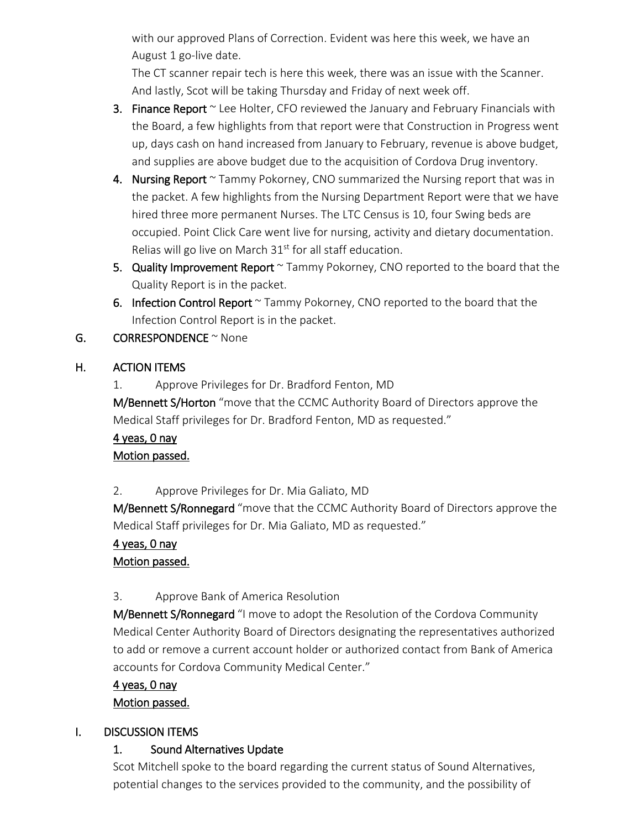with our approved Plans of Correction. Evident was here this week, we have an August 1 go-live date.

The CT scanner repair tech is here this week, there was an issue with the Scanner. And lastly, Scot will be taking Thursday and Friday of next week off.

- 3. Finance Report  $\sim$  Lee Holter, CFO reviewed the January and February Financials with the Board, a few highlights from that report were that Construction in Progress went up, days cash on hand increased from January to February, revenue is above budget, and supplies are above budget due to the acquisition of Cordova Drug inventory.
- 4. Nursing Report  $\sim$  Tammy Pokorney, CNO summarized the Nursing report that was in the packet. A few highlights from the Nursing Department Report were that we have hired three more permanent Nurses. The LTC Census is 10, four Swing beds are occupied. Point Click Care went live for nursing, activity and dietary documentation. Relias will go live on March  $31<sup>st</sup>$  for all staff education.
- 5. Quality Improvement Report  $\sim$  Tammy Pokorney, CNO reported to the board that the Quality Report is in the packet.
- 6. Infection Control Report ~ Tammy Pokorney, CNO reported to the board that the Infection Control Report is in the packet.
- $G.$  CORRESPONDENCE  $\sim$  None

## H. ACTION ITEMS

1. Approve Privileges for Dr. Bradford Fenton, MD M/Bennett S/Horton "move that the CCMC Authority Board of Directors approve the Medical Staff privileges for Dr. Bradford Fenton, MD as requested."

## 4 yeas, 0 nay Motion passed.

2. Approve Privileges for Dr. Mia Galiato, MD

M/Bennett S/Ronnegard "move that the CCMC Authority Board of Directors approve the Medical Staff privileges for Dr. Mia Galiato, MD as requested."

## 4 yeas, 0 nay

## Motion passed.

# 3. Approve Bank of America Resolution

M/Bennett S/Ronnegard "I move to adopt the Resolution of the Cordova Community Medical Center Authority Board of Directors designating the representatives authorized to add or remove a current account holder or authorized contact from Bank of America accounts for Cordova Community Medical Center."

## 4 yeas, 0 nay

## Motion passed.

# I. DISCUSSION ITEMS

# 1. Sound Alternatives Update

Scot Mitchell spoke to the board regarding the current status of Sound Alternatives, potential changes to the services provided to the community, and the possibility of